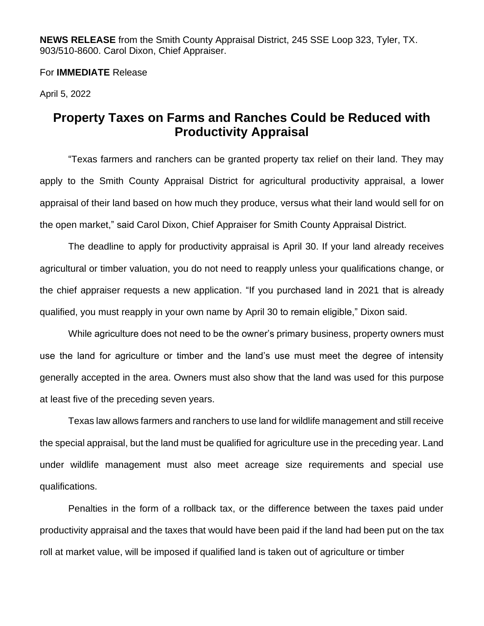**NEWS RELEASE** from the Smith County Appraisal District, 245 SSE Loop 323, Tyler, TX. 903/510-8600. Carol Dixon, Chief Appraiser.

## For **IMMEDIATE** Release

April 5, 2022

## **Property Taxes on Farms and Ranches Could be Reduced with Productivity Appraisal**

"Texas farmers and ranchers can be granted property tax relief on their land. They may apply to the Smith County Appraisal District for agricultural productivity appraisal, a lower appraisal of their land based on how much they produce, versus what their land would sell for on the open market," said Carol Dixon, Chief Appraiser for Smith County Appraisal District.

The deadline to apply for productivity appraisal is April 30. If your land already receives agricultural or timber valuation, you do not need to reapply unless your qualifications change, or the chief appraiser requests a new application. "If you purchased land in 2021 that is already qualified, you must reapply in your own name by April 30 to remain eligible," Dixon said.

While agriculture does not need to be the owner's primary business, property owners must use the land for agriculture or timber and the land's use must meet the degree of intensity generally accepted in the area. Owners must also show that the land was used for this purpose at least five of the preceding seven years.

Texas law allows farmers and ranchers to use land for wildlife management and still receive the special appraisal, but the land must be qualified for agriculture use in the preceding year. Land under wildlife management must also meet acreage size requirements and special use qualifications.

Penalties in the form of a rollback tax, or the difference between the taxes paid under productivity appraisal and the taxes that would have been paid if the land had been put on the tax roll at market value, will be imposed if qualified land is taken out of agriculture or timber